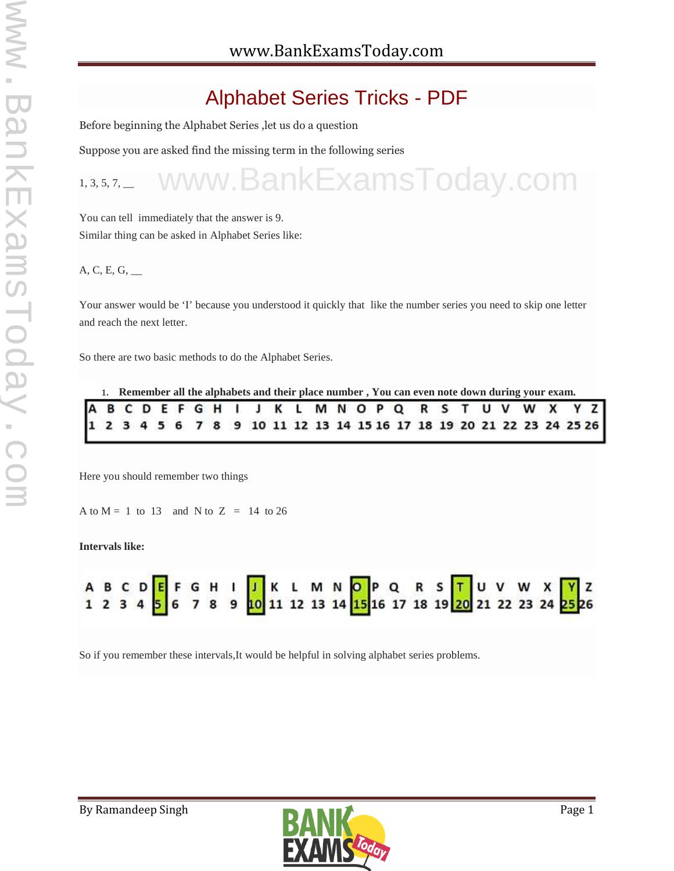# Alphabet Series Tricks - PDF

Before beginning the Alphabet Series ,let us do a question

Suppose you are asked find the missing term in the following series

### $1, 3, 5, 7,$ www.BankExamsToday.com

You can tell immediately that the answer is 9. Similar thing can be asked in Alphabet Series like:

### A, C, E, G, \_\_

Your answer would be 'I' because you understood it quickly that like the number series you need to skip one letter and reach the next letter.

So there are two basic methods to do the Alphabet Series.

|  |  |  |  | 1. Remember all the alphabets and their place number, You can even note down during your exam. |  |  |  |  |  |  |  |  |
|--|--|--|--|------------------------------------------------------------------------------------------------|--|--|--|--|--|--|--|--|
|  |  |  |  | A B C D E F G H I J K L M N O P Q R S T U V W X Y Z                                            |  |  |  |  |  |  |  |  |
|  |  |  |  | 1 2 3 4 5 6 7 8 9 10 11 12 13 14 15 16 17 18 19 20 21 22 23 24 25 26                           |  |  |  |  |  |  |  |  |

Here you should remember two things

A to  $M = 1$  to 13 and N to  $Z = 14$  to 26

**Intervals like:**



So if you remember these intervals,It would be helpful in solving alphabet series problems.

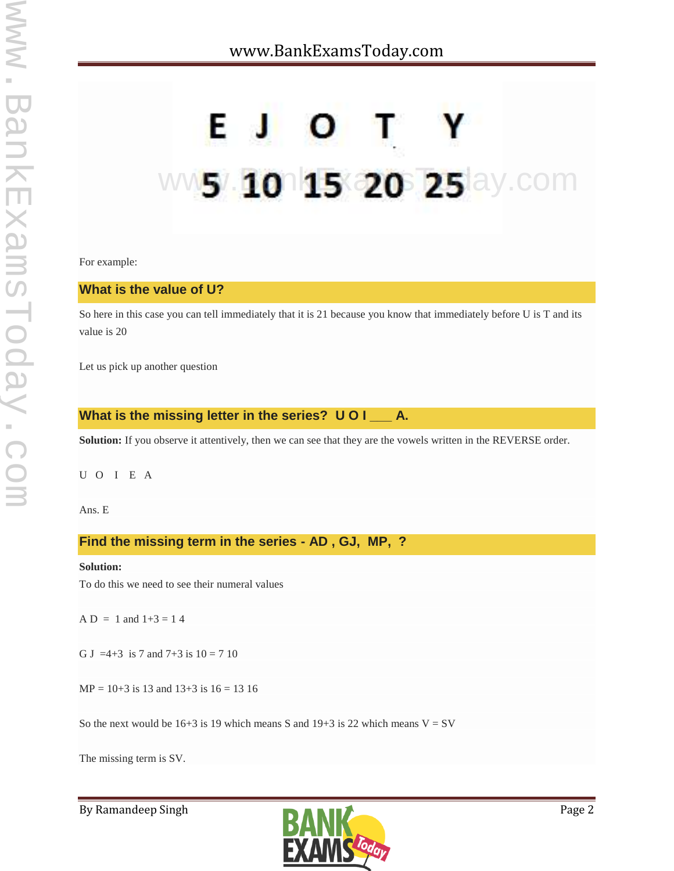# ww5/ 10 15 20 25 ay com

For example:

### **What is the value of U?**

So here in this case you can tell immediately that it is 21 because you know that immediately before U is T and its value is 20

Let us pick up another question

### **What is the missing letter in the series? U O I \_\_\_ A.**

**Solution:** If you observe it attentively, then we can see that they are the vowels written in the REVERSE order.

U O IE A

Ans. E

### **Find the missing term in the series - AD , GJ, MP, ?**

### **Solution:**

To do this we need to see their numeral values

 $AD = 1$  and  $1+3 = 14$ 

G J =4+3 is 7 and 7+3 is  $10 = 7 10$ 

 $MP = 10+3$  is 13 and 13+3 is 16 = 13 16

So the next would be  $16+3$  is 19 which means S and  $19+3$  is 22 which means  $V = SV$ 

The missing term is SV.

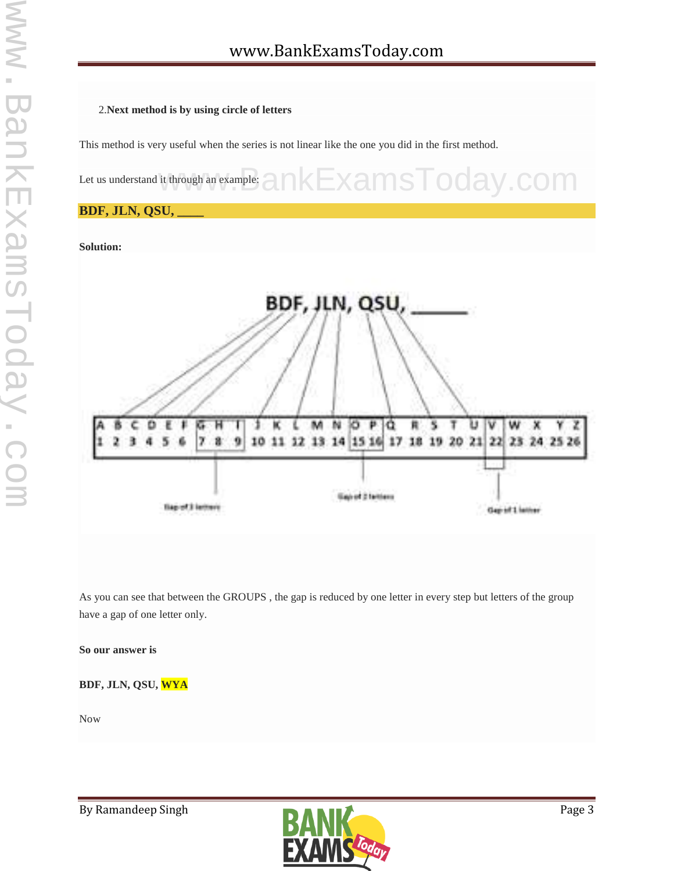### 2.**Next method is by using circle of letters**

This method is very useful when the series is not linear like the one you did in the first method.



### **BDF, JLN, QSU, \_\_\_\_**

**Solution:**



As you can see that between the GROUPS , the gap is reduced by one letter in every step but letters of the group have a gap of one letter only.

### **So our answer is**

### **BDF, JLN, QSU, WYA**

Now

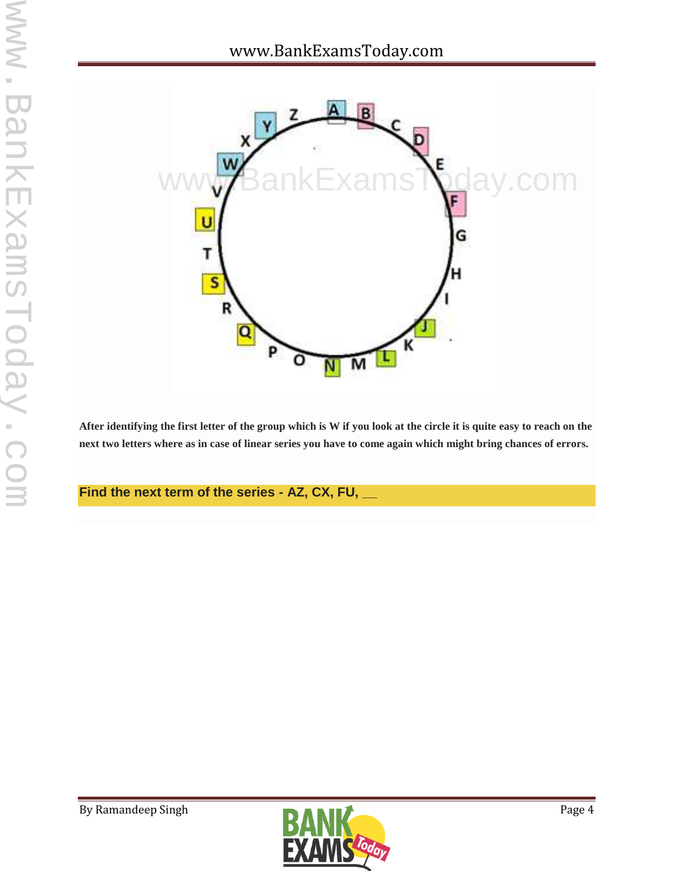

**After identifying the first letter of the group which is W if you look at the circle it is quite easy to reach on the next two letters where as in case of linear series you have to come again which might bring chances of errors.**

**Find the next term of the series - AZ, CX, FU, \_\_**

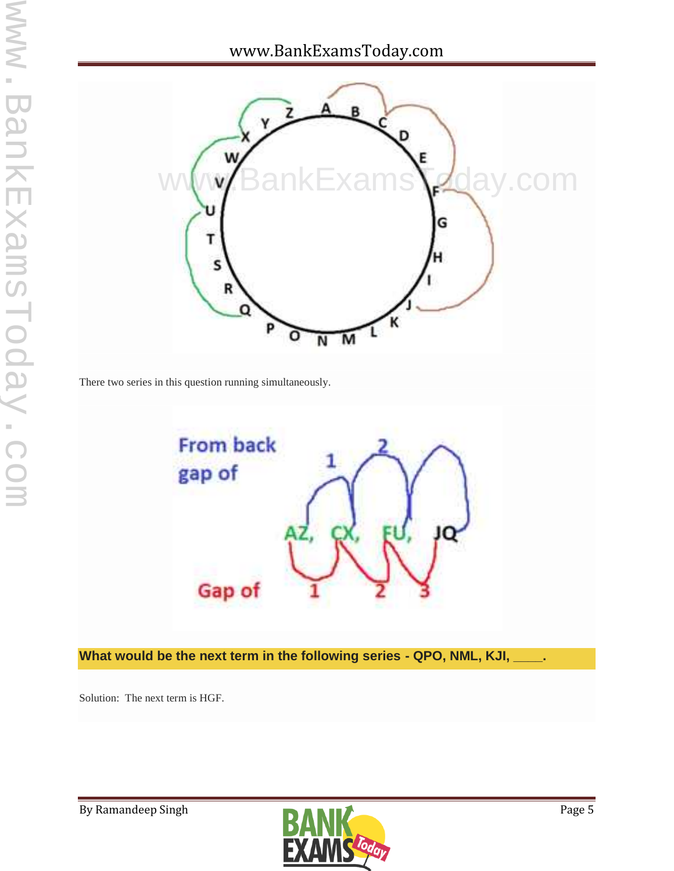## www.BankExamsToday.com



There two series in this question running simultaneously.



**What would be the next term in the following series - QPO, NML, KJI, \_\_\_\_.**

Solution: The next term is HGF.

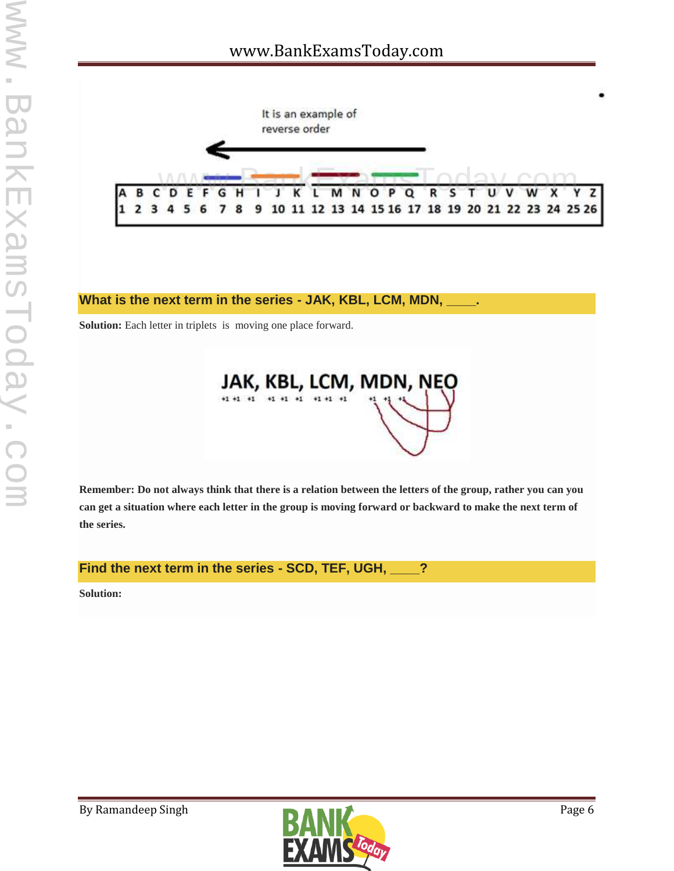

### **What is the next term in the series - JAK, KBL, LCM, MDN, \_\_\_\_.**

**Solution:** Each letter in triplets is moving one place forward.



**Remember: Do not always think that there is a relation between the letters of the group, rather you can you can get a situation where each letter in the group is moving forward or backward to make the next term of the series.**

**Find the next term in the series - SCD, TEF, UGH, \_\_\_\_?**

**Solution:**